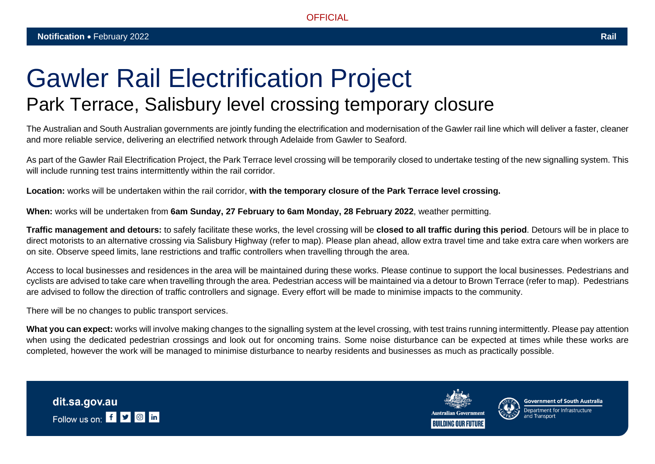## Gawler Rail Electrification Project Park Terrace, Salisbury level crossing temporary closure

The Australian and South Australian governments are jointly funding the electrification and modernisation of the Gawler rail line which will deliver a faster, cleaner and more reliable service, delivering an electrified network through Adelaide from Gawler to Seaford.

As part of the Gawler Rail Electrification Project, the Park Terrace level crossing will be temporarily closed to undertake testing of the new signalling system. This will include running test trains intermittently within the rail corridor.

**Location:** works will be undertaken within the rail corridor, **with the temporary closure of the Park Terrace level crossing.**

**When:** works will be undertaken from **6am Sunday, 27 February to 6am Monday, 28 February 2022**, weather permitting.

**Traffic management and detours:** to safely facilitate these works, the level crossing will be **closed to all traffic during this period**. Detours will be in place to direct motorists to an alternative crossing via Salisbury Highway (refer to map). Please plan ahead, allow extra travel time and take extra care when workers are on site. Observe speed limits, lane restrictions and traffic controllers when travelling through the area.

Access to local businesses and residences in the area will be maintained during these works. Please continue to support the local businesses. Pedestrians and cyclists are advised to take care when travelling through the area. Pedestrian access will be maintained via a detour to Brown Terrace (refer to map). Pedestrians are advised to follow the direction of traffic controllers and signage. Every effort will be made to minimise impacts to the community.

There will be no changes to public transport services.

What you can expect: works will involve making changes to the signalling system at the level crossing, with test trains running intermittently. Please pay attention when using the dedicated pedestrian crossings and look out for oncoming trains. Some noise disturbance can be expected at times while these works are completed, however the work will be managed to minimise disturbance to nearby residents and businesses as much as practically possible.





**Government of South Australia**